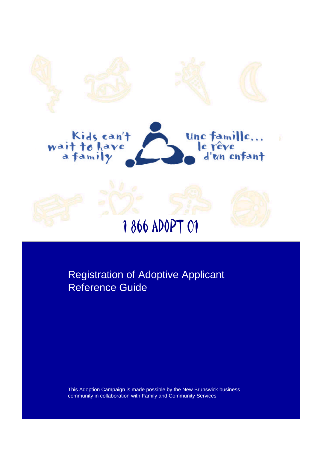

Registration of Adoptive Applicant Reference Guide

This Adoption Campaign is made possible by the New Brunswick business community in collaboration with Family and Community Services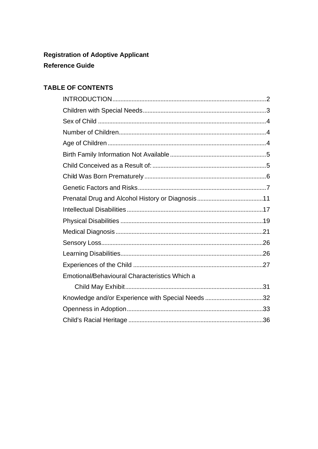# **Registration of Adoptive Applicant Reference Guide**

# **TABLE OF CONTENTS**

| Emotional/Behavioural Characteristics Which a     |  |
|---------------------------------------------------|--|
|                                                   |  |
| Knowledge and/or Experience with Special Needs 32 |  |
|                                                   |  |
|                                                   |  |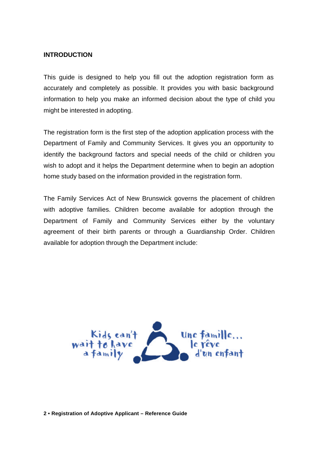#### **INTRODUCTION**

This guide is designed to help you fill out the adoption registration form as accurately and completely as possible. It provides you with basic background information to help you make an informed decision about the type of child you might be interested in adopting.

The registration form is the first step of the adoption application process with the Department of Family and Community Services. It gives you an opportunity to identify the background factors and special needs of the child or children you wish to adopt and it helps the Department determine when to begin an adoption home study based on the information provided in the registration form.

The Family Services Act of New Brunswick governs the placement of children with adoptive families. Children become available for adoption through the Department of Family and Community Services either by the voluntary agreement of their birth parents or through a Guardianship Order. Children available for adoption through the Department include:

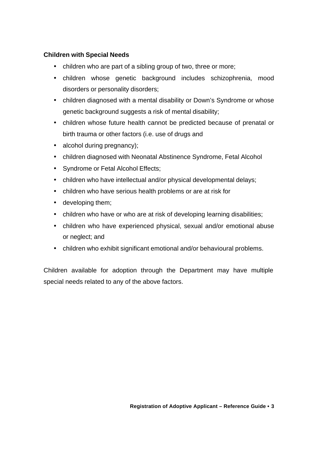# **Children with Special Needs**

- children who are part of a sibling group of two, three or more;
- children whose genetic background includes schizophrenia, mood disorders or personality disorders;
- children diagnosed with a mental disability or Down's Syndrome or whose genetic background suggests a risk of mental disability;
- children whose future health cannot be predicted because of prenatal or birth trauma or other factors (i.e. use of drugs and
- alcohol during pregnancy);
- children diagnosed with Neonatal Abstinence Syndrome, Fetal Alcohol
- Syndrome or Fetal Alcohol Effects;
- children who have intellectual and/or physical developmental delays;
- children who have serious health problems or are at risk for
- developing them;
- children who have or who are at risk of developing learning disabilities;
- children who have experienced physical, sexual and/or emotional abuse or neglect; and
- children who exhibit significant emotional and/or behavioural problems.

Children available for adoption through the Department may have multiple special needs related to any of the above factors.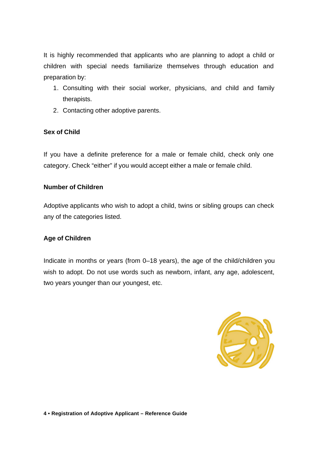It is highly recommended that applicants who are planning to adopt a child or children with special needs familiarize themselves through education and preparation by:

- 1. Consulting with their social worker, physicians, and child and family therapists.
- 2. Contacting other adoptive parents.

## **Sex of Child**

If you have a definite preference for a male or female child, check only one category. Check "either" if you would accept either a male or female child.

#### **Number of Children**

Adoptive applicants who wish to adopt a child, twins or sibling groups can check any of the categories listed.

#### **Age of Children**

Indicate in months or years (from 0–18 years), the age of the child/children you wish to adopt. Do not use words such as newborn, infant, any age, adolescent, two years younger than our youngest, etc.

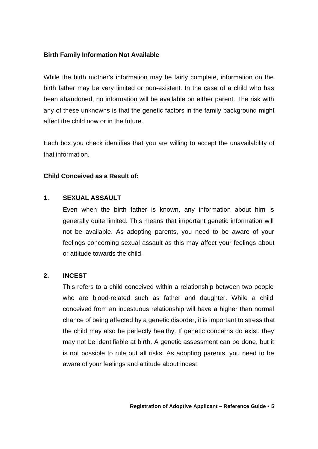## **Birth Family Information Not Available**

While the birth mother's information may be fairly complete, information on the birth father may be very limited or non-existent. In the case of a child who has been abandoned, no information will be available on either parent. The risk with any of these unknowns is that the genetic factors in the family background might affect the child now or in the future.

Each box you check identifies that you are willing to accept the unavailability of that information.

#### **Child Conceived as a Result of:**

#### **1. SEXUAL ASSAULT**

Even when the birth father is known, any information about him is generally quite limited. This means that important genetic information will not be available. As adopting parents, you need to be aware of your feelings concerning sexual assault as this may affect your feelings about or attitude towards the child.

#### **2. INCEST**

This refers to a child conceived within a relationship between two people who are blood-related such as father and daughter. While a child conceived from an incestuous relationship will have a higher than normal chance of being affected by a genetic disorder, it is important to stress that the child may also be perfectly healthy. If genetic concerns do exist, they may not be identifiable at birth. A genetic assessment can be done, but it is not possible to rule out all risks. As adopting parents, you need to be aware of your feelings and attitude about incest.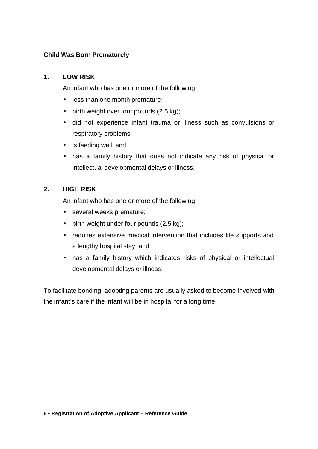# **Child Was Born Prematurely**

# **1. LOW RISK**

An infant who has one or more of the following:

- less than one month premature;
- birth weight over four pounds (2.5 kg);
- did not experience infant trauma or illness such as convulsions or respiratory problems;
- is feeding well; and
- has a family history that does not indicate any risk of physical or intellectual developmental delays or illness.

# **2. HIGH RISK**

An infant who has one or more of the following:

- several weeks premature;
- birth weight under four pounds (2.5 kg);
- requires extensive medical intervention that includes life supports and a lengthy hospital stay; and
- has a family history which indicates risks of physical or intellectual developmental delays or illness.

To facilitate bonding, adopting parents are usually asked to become involved with the infant's care if the infant will be in hospital for a long time.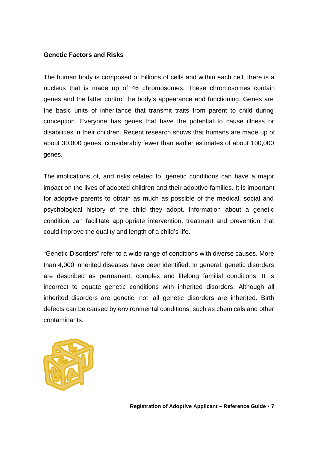## **Genetic Factors and Risks**

The human body is composed of billions of cells and within each cell, there is a nucleus that is made up of 46 chromosomes. These chromosomes contain genes and the latter control the body's appearance and functioning. Genes are the basic units of inheritance that transmit traits from parent to child during conception. Everyone has genes that have the potential to cause illness or disabilities in their children. Recent research shows that humans are made up of about 30,000 genes, considerably fewer than earlier estimates of about 100,000 genes.

The implications of, and risks related to, genetic conditions can have a major impact on the lives of adopted children and their adoptive families. It is important for adoptive parents to obtain as much as possible of the medical, social and psychological history of the child they adopt. Information about a genetic condition can facilitate appropriate intervention, treatment and prevention that could improve the quality and length of a child's life.

"Genetic Disorders" refer to a wide range of conditions with diverse causes. More than 4,000 inherited diseases have been identified. In general, genetic disorders are described as permanent, complex and lifelong familial conditions. It is incorrect to equate genetic conditions with inherited disorders. Although all inherited disorders are genetic, not all genetic disorders are inherited. Birth defects can be caused by environmental conditions, such as chemicals and other contaminants.

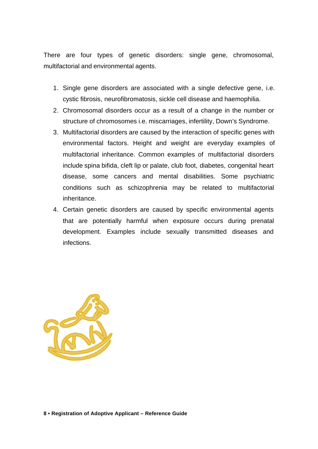There are four types of genetic disorders: single gene, chromosomal, multifactorial and environmental agents.

- 1. Single gene disorders are associated with a single defective gene, i.e. cystic fibrosis, neurofibromatosis, sickle cell disease and haemophilia.
- 2. Chromosomal disorders occur as a result of a change in the number or structure of chromosomes i.e. miscarriages, infertility, Down's Syndrome.
- 3. Multifactorial disorders are caused by the interaction of specific genes with environmental factors. Height and weight are everyday examples of multifactorial inheritance. Common examples of multifactorial disorders include spina bifida, cleft lip or palate, club foot, diabetes, congenital heart disease, some cancers and mental disabilities. Some psychiatric conditions such as schizophrenia may be related to multifactorial inheritance.
- 4. Certain genetic disorders are caused by specific environmental agents that are potentially harmful when exposure occurs during prenatal development. Examples include sexually transmitted diseases and infections.

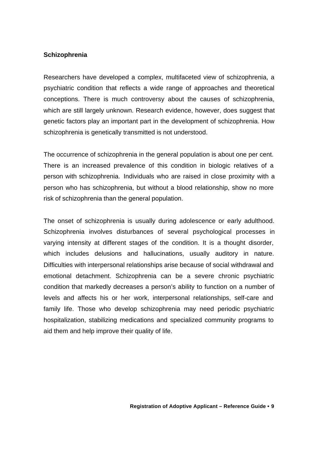#### **Schizophrenia**

Researchers have developed a complex, multifaceted view of schizophrenia, a psychiatric condition that reflects a wide range of approaches and theoretical conceptions. There is much controversy about the causes of schizophrenia, which are still largely unknown. Research evidence, however, does suggest that genetic factors play an important part in the development of schizophrenia. How schizophrenia is genetically transmitted is not understood.

The occurrence of schizophrenia in the general population is about one per cent. There is an increased prevalence of this condition in biologic relatives of a person with schizophrenia. Individuals who are raised in close proximity with a person who has schizophrenia, but without a blood relationship, show no more risk of schizophrenia than the general population.

The onset of schizophrenia is usually during adolescence or early adulthood. Schizophrenia involves disturbances of several psychological processes in varying intensity at different stages of the condition. It is a thought disorder, which includes delusions and hallucinations, usually auditory in nature. Difficulties with interpersonal relationships arise because of social withdrawal and emotional detachment. Schizophrenia can be a severe chronic psychiatric condition that markedly decreases a person's ability to function on a number of levels and affects his or her work, interpersonal relationships, self-care and family life. Those who develop schizophrenia may need periodic psychiatric hospitalization, stabilizing medications and specialized community programs to aid them and help improve their quality of life.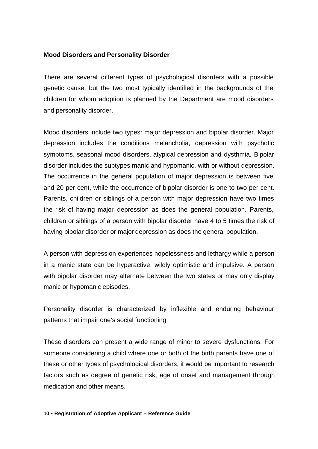### **Mood Disorders and Personality Disorder**

There are several different types of psychological disorders with a possible genetic cause, but the two most typically identified in the backgrounds of the children for whom adoption is planned by the Department are mood disorders and personality disorder.

Mood disorders include two types: major depression and bipolar disorder. Major depression includes the conditions melancholia, depression with psychotic symptoms, seasonal mood disorders, atypical depression and dysthmia. Bipolar disorder includes the subtypes manic and hypomanic, with or without depression. The occurrence in the general population of major depression is between five and 20 per cent, while the occurrence of bipolar disorder is one to two per cent. Parents, children or siblings of a person with major depression have two times the risk of having major depression as does the general population. Parents, children or siblings of a person with bipolar disorder have 4 to 5 times the risk of having bipolar disorder or major depression as does the general population.

A person with depression experiences hopelessness and lethargy while a person in a manic state can be hyperactive, wildly optimistic and impulsive. A person with bipolar disorder may alternate between the two states or may only display manic or hypomanic episodes.

Personality disorder is characterized by inflexible and enduring behaviour patterns that impair one's social functioning.

These disorders can present a wide range of minor to severe dysfunctions. For someone considering a child where one or both of the birth parents have one of these or other types of psychological disorders, it would be important to research factors such as degree of genetic risk, age of onset and management through medication and other means.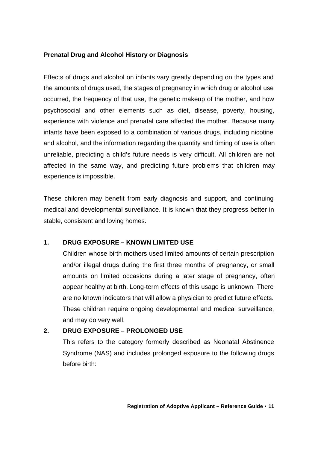# **Prenatal Drug and Alcohol History or Diagnosis**

Effects of drugs and alcohol on infants vary greatly depending on the types and the amounts of drugs used, the stages of pregnancy in which drug or alcohol use occurred, the frequency of that use, the genetic makeup of the mother, and how psychosocial and other elements such as diet, disease, poverty, housing, experience with violence and prenatal care affected the mother. Because many infants have been exposed to a combination of various drugs, including nicotine and alcohol, and the information regarding the quantity and timing of use is often unreliable, predicting a child's future needs is very difficult. All children are not affected in the same way, and predicting future problems that children may experience is impossible.

These children may benefit from early diagnosis and support, and continuing medical and developmental surveillance. It is known that they progress better in stable, consistent and loving homes.

# **1. DRUG EXPOSURE – KNOWN LIMITED USE**

Children whose birth mothers used limited amounts of certain prescription and/or illegal drugs during the first three months of pregnancy, or small amounts on limited occasions during a later stage of pregnancy, often appear healthy at birth. Long-term effects of this usage is unknown. There are no known indicators that will allow a physician to predict future effects. These children require ongoing developmental and medical surveillance, and may do very well.

# **2. DRUG EXPOSURE – PROLONGED USE**

This refers to the category formerly described as Neonatal Abstinence Syndrome (NAS) and includes prolonged exposure to the following drugs before birth: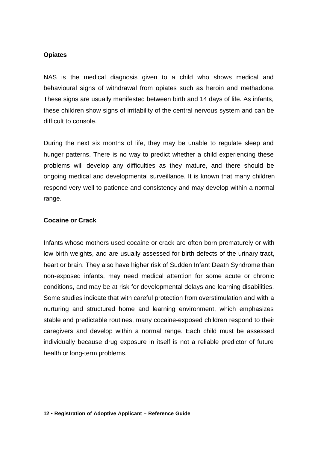#### **Opiates**

NAS is the medical diagnosis given to a child who shows medical and behavioural signs of withdrawal from opiates such as heroin and methadone. These signs are usually manifested between birth and 14 days of life. As infants, these children show signs of irritability of the central nervous system and can be difficult to console.

During the next six months of life, they may be unable to regulate sleep and hunger patterns. There is no way to predict whether a child experiencing these problems will develop any difficulties as they mature, and there should be ongoing medical and developmental surveillance. It is known that many children respond very well to patience and consistency and may develop within a normal range.

#### **Cocaine or Crack**

Infants whose mothers used cocaine or crack are often born prematurely or with low birth weights, and are usually assessed for birth defects of the urinary tract, heart or brain. They also have higher risk of Sudden Infant Death Syndrome than non-exposed infants, may need medical attention for some acute or chronic conditions, and may be at risk for developmental delays and learning disabilities. Some studies indicate that with careful protection from overstimulation and with a nurturing and structured home and learning environment, which emphasizes stable and predictable routines, many cocaine-exposed children respond to their caregivers and develop within a normal range. Each child must be assessed individually because drug exposure in itself is not a reliable predictor of future health or long-term problems.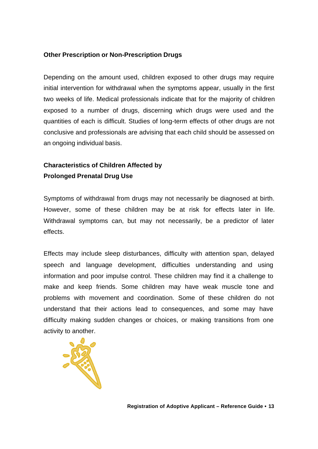# **Other Prescription or Non-Prescription Drugs**

Depending on the amount used, children exposed to other drugs may require initial intervention for withdrawal when the symptoms appear, usually in the first two weeks of life. Medical professionals indicate that for the majority of children exposed to a number of drugs, discerning which drugs were used and the quantities of each is difficult. Studies of long-term effects of other drugs are not conclusive and professionals are advising that each child should be assessed on an ongoing individual basis.

# **Characteristics of Children Affected by Prolonged Prenatal Drug Use**

Symptoms of withdrawal from drugs may not necessarily be diagnosed at birth. However, some of these children may be at risk for effects later in life. Withdrawal symptoms can, but may not necessarily, be a predictor of later effects.

Effects may include sleep disturbances, difficulty with attention span, delayed speech and language development, difficulties understanding and using information and poor impulse control. These children may find it a challenge to make and keep friends. Some children may have weak muscle tone and problems with movement and coordination. Some of these children do not understand that their actions lead to consequences, and some may have difficulty making sudden changes or choices, or making transitions from one activity to another.

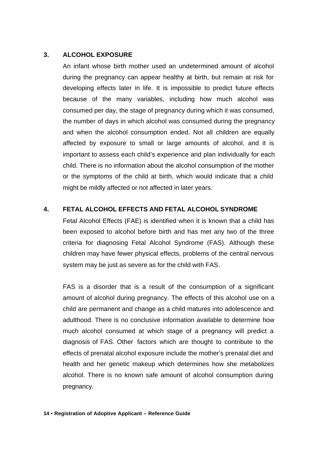# **3. ALCOHOL EXPOSURE**

An infant whose birth mother used an undetermined amount of alcohol during the pregnancy can appear healthy at birth, but remain at risk for developing effects later in life. It is impossible to predict future effects because of the many variables, including how much alcohol was consumed per day, the stage of pregnancy during which it was consumed, the number of days in which alcohol was consumed during the pregnancy and when the alcohol consumption ended. Not all children are equally affected by exposure to small or large amounts of alcohol, and it is important to assess each child's experience and plan individually for each child. There is no information about the alcohol consumption of the mother or the symptoms of the child at birth, which would indicate that a child might be mildly affected or not affected in later years.

# **4. FETAL ALCOHOL EFFECTS AND FETAL ALCOHOL SYNDROME**

Fetal Alcohol Effects (FAE) is identified when it is known that a child has been exposed to alcohol before birth and has met any two of the three criteria for diagnosing Fetal Alcohol Syndrome (FAS). Although these children may have fewer physical effects, problems of the central nervous system may be just as severe as for the child with FAS.

FAS is a disorder that is a result of the consumption of a significant amount of alcohol during pregnancy. The effects of this alcohol use on a child are permanent and change as a child matures into adolescence and adulthood. There is no conclusive information available to determine how much alcohol consumed at which stage of a pregnancy will predict a diagnosis of FAS. Other factors which are thought to contribute to the effects of prenatal alcohol exposure include the mother's prenatal diet and health and her genetic makeup which determines how she metabolizes alcohol. There is no known safe amount of alcohol consumption during pregnancy.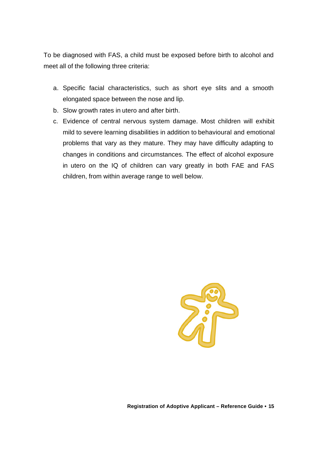To be diagnosed with FAS, a child must be exposed before birth to alcohol and meet all of the following three criteria:

- a. Specific facial characteristics, such as short eye slits and a smooth elongated space between the nose and lip.
- b. Slow growth rates in utero and after birth.
- c. Evidence of central nervous system damage. Most children will exhibit mild to severe learning disabilities in addition to behavioural and emotional problems that vary as they mature. They may have difficulty adapting to changes in conditions and circumstances. The effect of alcohol exposure in utero on the IQ of children can vary greatly in both FAE and FAS children, from within average range to well below.

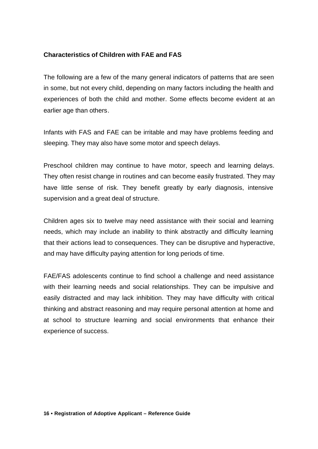# **Characteristics of Children with FAE and FAS**

The following are a few of the many general indicators of patterns that are seen in some, but not every child, depending on many factors including the health and experiences of both the child and mother. Some effects become evident at an earlier age than others.

Infants with FAS and FAE can be irritable and may have problems feeding and sleeping. They may also have some motor and speech delays.

Preschool children may continue to have motor, speech and learning delays. They often resist change in routines and can become easily frustrated. They may have little sense of risk. They benefit greatly by early diagnosis, intensive supervision and a great deal of structure.

Children ages six to twelve may need assistance with their social and learning needs, which may include an inability to think abstractly and difficulty learning that their actions lead to consequences. They can be disruptive and hyperactive, and may have difficulty paying attention for long periods of time.

FAE/FAS adolescents continue to find school a challenge and need assistance with their learning needs and social relationships. They can be impulsive and easily distracted and may lack inhibition. They may have difficulty with critical thinking and abstract reasoning and may require personal attention at home and at school to structure learning and social environments that enhance their experience of success.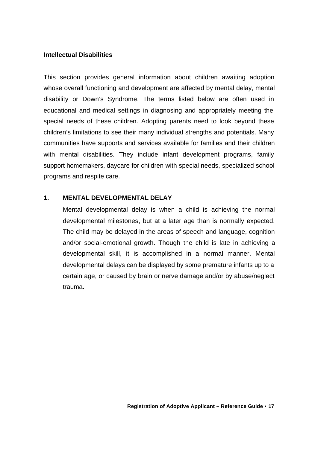#### **Intellectual Disabilities**

This section provides general information about children awaiting adoption whose overall functioning and development are affected by mental delay, mental disability or Down's Syndrome. The terms listed below are often used in educational and medical settings in diagnosing and appropriately meeting the special needs of these children. Adopting parents need to look beyond these children's limitations to see their many individual strengths and potentials. Many communities have supports and services available for families and their children with mental disabilities. They include infant development programs, family support homemakers, daycare for children with special needs, specialized school programs and respite care.

#### **1. MENTAL DEVELOPMENTAL DELAY**

Mental developmental delay is when a child is achieving the normal developmental milestones, but at a later age than is normally expected. The child may be delayed in the areas of speech and language, cognition and/or social-emotional growth. Though the child is late in achieving a developmental skill, it is accomplished in a normal manner. Mental developmental delays can be displayed by some premature infants up to a certain age, or caused by brain or nerve damage and/or by abuse/neglect trauma.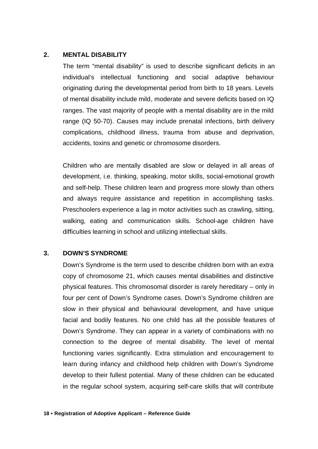#### **2. MENTAL DISABILITY**

The term "mental disability" is used to describe significant deficits in an individual's intellectual functioning and social adaptive behaviour originating during the developmental period from birth to 18 years. Levels of mental disability include mild, moderate and severe deficits based on IQ ranges. The vast majority of people with a mental disability are in the mild range (IQ 50-70). Causes may include prenatal infections, birth delivery complications, childhood illness, trauma from abuse and deprivation, accidents, toxins and genetic or chromosome disorders.

Children who are mentally disabled are slow or delayed in all areas of development, i.e. thinking, speaking, motor skills, social-emotional growth and self-help. These children learn and progress more slowly than others and always require assistance and repetition in accomplishing tasks. Preschoolers experience a lag in motor activities such as crawling, sitting, walking, eating and communication skills. School-age children have difficulties learning in school and utilizing intellectual skills.

# **3. DOWN'S SYNDROME**

Down's Syndrome is the term used to describe children born with an extra copy of chromosome 21, which causes mental disabilities and distinctive physical features. This chromosomal disorder is rarely hereditary – only in four per cent of Down's Syndrome cases. Down's Syndrome children are slow in their physical and behavioural development, and have unique facial and bodily features. No one child has all the possible features of Down's Syndrome. They can appear in a variety of combinations with no connection to the degree of mental disability. The level of mental functioning varies significantly. Extra stimulation and encouragement to learn during infancy and childhood help children with Down's Syndrome develop to their fullest potential. Many of these children can be educated in the regular school system, acquiring self-care skills that will contribute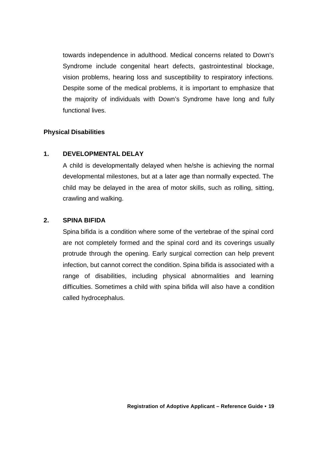towards independence in adulthood. Medical concerns related to Down's Syndrome include congenital heart defects, gastrointestinal blockage, vision problems, hearing loss and susceptibility to respiratory infections. Despite some of the medical problems, it is important to emphasize that the majority of individuals with Down's Syndrome have long and fully functional lives.

#### **Physical Disabilities**

#### **1. DEVELOPMENTAL DELAY**

A child is developmentally delayed when he/she is achieving the normal developmental milestones, but at a later age than normally expected. The child may be delayed in the area of motor skills, such as rolling, sitting, crawling and walking.

#### **2. SPINA BIFIDA**

Spina bifida is a condition where some of the vertebrae of the spinal cord are not completely formed and the spinal cord and its coverings usually protrude through the opening. Early surgical correction can help prevent infection, but cannot correct the condition. Spina bifida is associated with a range of disabilities, including physical abnormalities and learning difficulties. Sometimes a child with spina bifida will also have a condition called hydrocephalus.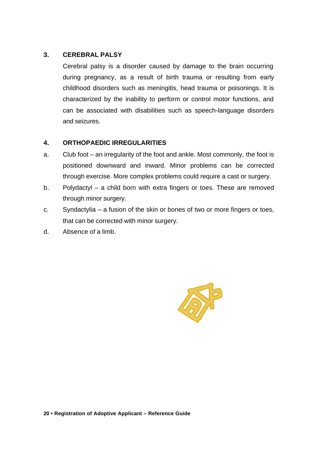# **3. CEREBRAL PALSY**

Cerebral palsy is a disorder caused by damage to the brain occurring during pregnancy, as a result of birth trauma or resulting from early childhood disorders such as meningitis, head trauma or poisonings. It is characterized by the inability to perform or control motor functions, and can be associated with disabilities such as speech-language disorders and seizures.

# **4. ORTHOPAEDIC IRREGULARITIES**

- a. Club foot an irregularity of the foot and ankle. Most commonly, the foot is positioned downward and inward. Minor problems can be corrected through exercise. More complex problems could require a cast or surgery.
- b. Polydactyl a child born with extra fingers or toes. These are removed through minor surgery.
- c. Syndactylia a fusion of the skin or bones of two or more fingers or toes, that can be corrected with minor surgery.
- d. Absence of a limb.

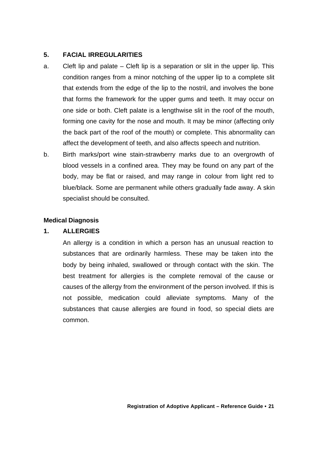# **5. FACIAL IRREGULARITIES**

- a. Cleft lip and palate Cleft lip is a separation or slit in the upper lip. This condition ranges from a minor notching of the upper lip to a complete slit that extends from the edge of the lip to the nostril, and involves the bone that forms the framework for the upper gums and teeth. It may occur on one side or both. Cleft palate is a lengthwise slit in the roof of the mouth, forming one cavity for the nose and mouth. It may be minor (affecting only the back part of the roof of the mouth) or complete. This abnormality can affect the development of teeth, and also affects speech and nutrition.
- b. Birth marks/port wine stain-strawberry marks due to an overgrowth of blood vessels in a confined area. They may be found on any part of the body, may be flat or raised, and may range in colour from light red to blue/black. Some are permanent while others gradually fade away. A skin specialist should be consulted.

## **Medical Diagnosis**

# **1. ALLERGIES**

An allergy is a condition in which a person has an unusual reaction to substances that are ordinarily harmless. These may be taken into the body by being inhaled, swallowed or through contact with the skin. The best treatment for allergies is the complete removal of the cause or causes of the allergy from the environment of the person involved. If this is not possible, medication could alleviate symptoms. Many of the substances that cause allergies are found in food, so special diets are common.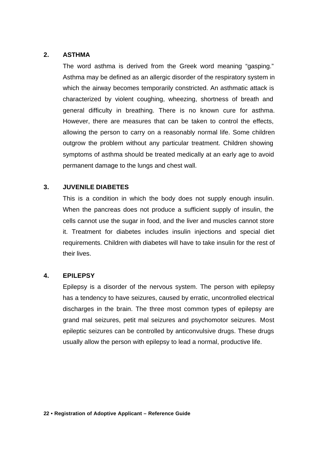#### **2. ASTHMA**

The word asthma is derived from the Greek word meaning "gasping." Asthma may be defined as an allergic disorder of the respiratory system in which the airway becomes temporarily constricted. An asthmatic attack is characterized by violent coughing, wheezing, shortness of breath and general difficulty in breathing. There is no known cure for asthma. However, there are measures that can be taken to control the effects, allowing the person to carry on a reasonably normal life. Some children outgrow the problem without any particular treatment. Children showing symptoms of asthma should be treated medically at an early age to avoid permanent damage to the lungs and chest wall.

#### **3. JUVENILE DIABETES**

This is a condition in which the body does not supply enough insulin. When the pancreas does not produce a sufficient supply of insulin, the cells cannot use the sugar in food, and the liver and muscles cannot store it. Treatment for diabetes includes insulin injections and special diet requirements. Children with diabetes will have to take insulin for the rest of their lives.

#### **4. EPILEPSY**

Epilepsy is a disorder of the nervous system. The person with epilepsy has a tendency to have seizures, caused by erratic, uncontrolled electrical discharges in the brain. The three most common types of epilepsy are grand mal seizures, petit mal seizures and psychomotor seizures. Most epileptic seizures can be controlled by anticonvulsive drugs. These drugs usually allow the person with epilepsy to lead a normal, productive life.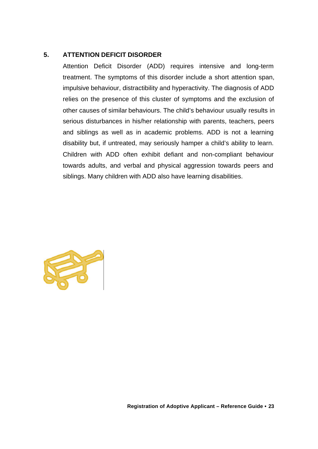# **5. ATTENTION DEFICIT DISORDER**

Attention Deficit Disorder (ADD) requires intensive and long-term treatment. The symptoms of this disorder include a short attention span, impulsive behaviour, distractibility and hyperactivity. The diagnosis of ADD relies on the presence of this cluster of symptoms and the exclusion of other causes of similar behaviours. The child's behaviour usually results in serious disturbances in his/her relationship with parents, teachers, peers and siblings as well as in academic problems. ADD is not a learning disability but, if untreated, may seriously hamper a child's ability to learn. Children with ADD often exhibit defiant and non-compliant behaviour towards adults, and verbal and physical aggression towards peers and siblings. Many children with ADD also have learning disabilities.

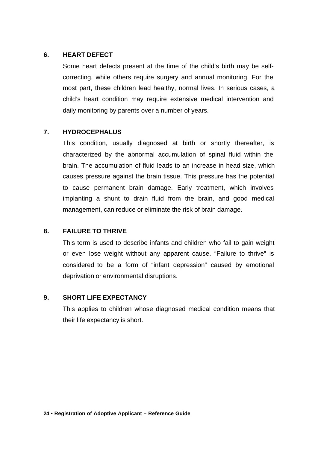### **6. HEART DEFECT**

Some heart defects present at the time of the child's birth may be selfcorrecting, while others require surgery and annual monitoring. For the most part, these children lead healthy, normal lives. In serious cases, a child's heart condition may require extensive medical intervention and daily monitoring by parents over a number of years.

## **7. HYDROCEPHALUS**

This condition, usually diagnosed at birth or shortly thereafter, is characterized by the abnormal accumulation of spinal fluid within the brain. The accumulation of fluid leads to an increase in head size, which causes pressure against the brain tissue. This pressure has the potential to cause permanent brain damage. Early treatment, which involves implanting a shunt to drain fluid from the brain, and good medical management, can reduce or eliminate the risk of brain damage.

# **8. FAILURE TO THRIVE**

This term is used to describe infants and children who fail to gain weight or even lose weight without any apparent cause. "Failure to thrive" is considered to be a form of "infant depression" caused by emotional deprivation or environmental disruptions.

#### **9. SHORT LIFE EXPECTANCY**

This applies to children whose diagnosed medical condition means that their life expectancy is short.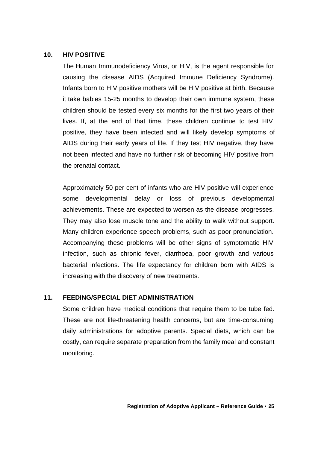## **10. HIV POSITIVE**

The Human Immunodeficiency Virus, or HIV, is the agent responsible for causing the disease AIDS (Acquired Immune Deficiency Syndrome). Infants born to HIV positive mothers will be HIV positive at birth. Because it take babies 15-25 months to develop their own immune system, these children should be tested every six months for the first two years of their lives. If, at the end of that time, these children continue to test HIV positive, they have been infected and will likely develop symptoms of AIDS during their early years of life. If they test HIV negative, they have not been infected and have no further risk of becoming HIV positive from the prenatal contact.

Approximately 50 per cent of infants who are HIV positive will experience some developmental delay or loss of previous developmental achievements. These are expected to worsen as the disease progresses. They may also lose muscle tone and the ability to walk without support. Many children experience speech problems, such as poor pronunciation. Accompanying these problems will be other signs of symptomatic HIV infection, such as chronic fever, diarrhoea, poor growth and various bacterial infections. The life expectancy for children born with AIDS is increasing with the discovery of new treatments.

#### **11. FEEDING/SPECIAL DIET ADMINISTRATION**

Some children have medical conditions that require them to be tube fed. These are not life-threatening health concerns, but are time-consuming daily administrations for adoptive parents. Special diets, which can be costly, can require separate preparation from the family meal and constant monitoring.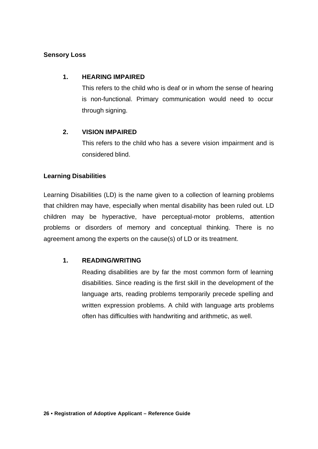# **Sensory Loss**

# **1. HEARING IMPAIRED**

This refers to the child who is deaf or in whom the sense of hearing is non-functional. Primary communication would need to occur through signing.

# **2. VISION IMPAIRED**

This refers to the child who has a severe vision impairment and is considered blind.

# **Learning Disabilities**

Learning Disabilities (LD) is the name given to a collection of learning problems that children may have, especially when mental disability has been ruled out. LD children may be hyperactive, have perceptual-motor problems, attention problems or disorders of memory and conceptual thinking. There is no agreement among the experts on the cause(s) of LD or its treatment.

# **1. READING/WRITING**

Reading disabilities are by far the most common form of learning disabilities. Since reading is the first skill in the development of the language arts, reading problems temporarily precede spelling and written expression problems. A child with language arts problems often has difficulties with handwriting and arithmetic, as well.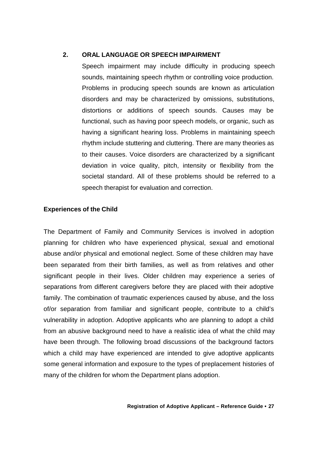## **2. ORAL LANGUAGE OR SPEECH IMPAIRMENT**

Speech impairment may include difficulty in producing speech sounds, maintaining speech rhythm or controlling voice production. Problems in producing speech sounds are known as articulation disorders and may be characterized by omissions, substitutions, distortions or additions of speech sounds. Causes may be functional, such as having poor speech models, or organic, such as having a significant hearing loss. Problems in maintaining speech rhythm include stuttering and cluttering. There are many theories as to their causes. Voice disorders are characterized by a significant deviation in voice quality, pitch, intensity or flexibility from the societal standard. All of these problems should be referred to a speech therapist for evaluation and correction.

## **Experiences of the Child**

The Department of Family and Community Services is involved in adoption planning for children who have experienced physical, sexual and emotional abuse and/or physical and emotional neglect. Some of these children may have been separated from their birth families, as well as from relatives and other significant people in their lives. Older children may experience a series of separations from different caregivers before they are placed with their adoptive family. The combination of traumatic experiences caused by abuse, and the loss of/or separation from familiar and significant people, contribute to a child's vulnerability in adoption. Adoptive applicants who are planning to adopt a child from an abusive background need to have a realistic idea of what the child may have been through. The following broad discussions of the background factors which a child may have experienced are intended to give adoptive applicants some general information and exposure to the types of preplacement histories of many of the children for whom the Department plans adoption.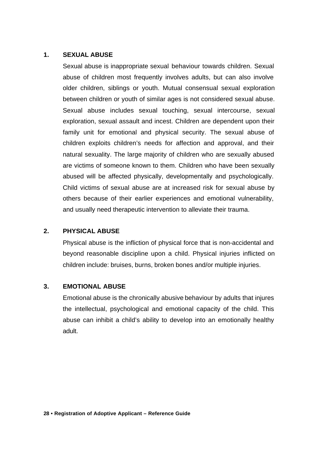#### **1. SEXUAL ABUSE**

Sexual abuse is inappropriate sexual behaviour towards children. Sexual abuse of children most frequently involves adults, but can also involve older children, siblings or youth. Mutual consensual sexual exploration between children or youth of similar ages is not considered sexual abuse. Sexual abuse includes sexual touching, sexual intercourse, sexual exploration, sexual assault and incest. Children are dependent upon their family unit for emotional and physical security. The sexual abuse of children exploits children's needs for affection and approval, and their natural sexuality. The large majority of children who are sexually abused are victims of someone known to them. Children who have been sexually abused will be affected physically, developmentally and psychologically. Child victims of sexual abuse are at increased risk for sexual abuse by others because of their earlier experiences and emotional vulnerability, and usually need therapeutic intervention to alleviate their trauma.

#### **2. PHYSICAL ABUSE**

Physical abuse is the infliction of physical force that is non-accidental and beyond reasonable discipline upon a child. Physical injuries inflicted on children include: bruises, burns, broken bones and/or multiple injuries.

#### **3. EMOTIONAL ABUSE**

Emotional abuse is the chronically abusive behaviour by adults that injures the intellectual, psychological and emotional capacity of the child. This abuse can inhibit a child's ability to develop into an emotionally healthy adult.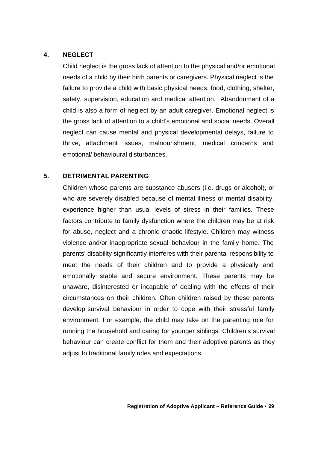## **4. NEGLECT**

Child neglect is the gross lack of attention to the physical and/or emotional needs of a child by their birth parents or caregivers. Physical neglect is the failure to provide a child with basic physical needs: food, clothing, shelter, safety, supervision, education and medical attention. Abandonment of a child is also a form of neglect by an adult caregiver. Emotional neglect is the gross lack of attention to a child's emotional and social needs. Overall neglect can cause mental and physical developmental delays, failure to thrive, attachment issues, malnourishment, medical concerns and emotional/ behavioural disturbances.

## **5. DETRIMENTAL PARENTING**

Children whose parents are substance abusers (i.e. drugs or alcohol), or who are severely disabled because of mental illness or mental disability, experience higher than usual levels of stress in their families. These factors contribute to family dysfunction where the children may be at risk for abuse, neglect and a chronic chaotic lifestyle. Children may witness violence and/or inappropriate sexual behaviour in the family home. The parents' disability significantly interferes with their parental responsibility to meet the needs of their children and to provide a physically and emotionally stable and secure environment. These parents may be unaware, disinterested or incapable of dealing with the effects of their circumstances on their children. Often children raised by these parents develop survival behaviour in order to cope with their stressful family environment. For example, the child may take on the parenting role for running the household and caring for younger siblings. Children's survival behaviour can create conflict for them and their adoptive parents as they adjust to traditional family roles and expectations.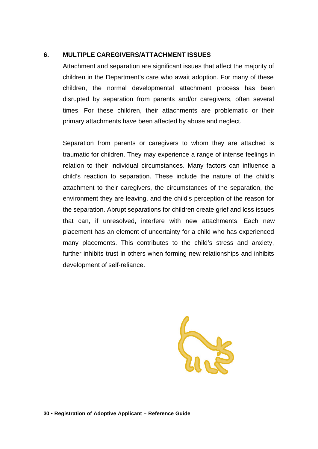## **6. MULTIPLE CAREGIVERS/ATTACHMENT ISSUES**

Attachment and separation are significant issues that affect the majority of children in the Department's care who await adoption. For many of these children, the normal developmental attachment process has been disrupted by separation from parents and/or caregivers, often several times. For these children, their attachments are problematic or their primary attachments have been affected by abuse and neglect.

Separation from parents or caregivers to whom they are attached is traumatic for children. They may experience a range of intense feelings in relation to their individual circumstances. Many factors can influence a child's reaction to separation. These include the nature of the child's attachment to their caregivers, the circumstances of the separation, the environment they are leaving, and the child's perception of the reason for the separation. Abrupt separations for children create grief and loss issues that can, if unresolved, interfere with new attachments. Each new placement has an element of uncertainty for a child who has experienced many placements. This contributes to the child's stress and anxiety, further inhibits trust in others when forming new relationships and inhibits development of self-reliance.

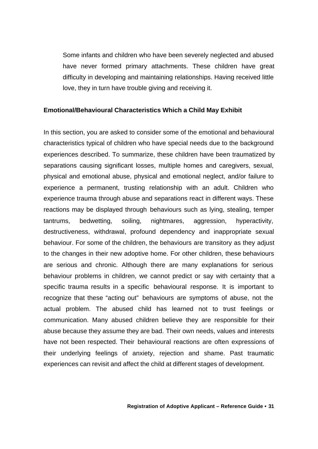Some infants and children who have been severely neglected and abused have never formed primary attachments. These children have great difficulty in developing and maintaining relationships. Having received little love, they in turn have trouble giving and receiving it.

#### **Emotional/Behavioural Characteristics Which a Child May Exhibit**

In this section, you are asked to consider some of the emotional and behavioural characteristics typical of children who have special needs due to the background experiences described. To summarize, these children have been traumatized by separations causing significant losses, multiple homes and caregivers, sexual, physical and emotional abuse, physical and emotional neglect, and/or failure to experience a permanent, trusting relationship with an adult. Children who experience trauma through abuse and separations react in different ways. These reactions may be displayed through behaviours such as lying, stealing, temper tantrums, bedwetting, soiling, nightmares, aggression, hyperactivity, destructiveness, withdrawal, profound dependency and inappropriate sexual behaviour. For some of the children, the behaviours are transitory as they adjust to the changes in their new adoptive home. For other children, these behaviours are serious and chronic. Although there are many explanations for serious behaviour problems in children, we cannot predict or say with certainty that a specific trauma results in a specific behavioural response. It is important to recognize that these "acting out" behaviours are symptoms of abuse, not the actual problem. The abused child has learned not to trust feelings or communication. Many abused children believe they are responsible for their abuse because they assume they are bad. Their own needs, values and interests have not been respected. Their behavioural reactions are often expressions of their underlying feelings of anxiety, rejection and shame. Past traumatic experiences can revisit and affect the child at different stages of development.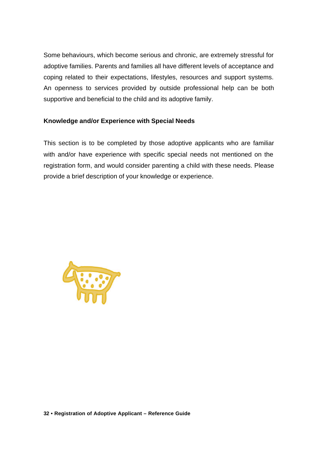Some behaviours, which become serious and chronic, are extremely stressful for adoptive families. Parents and families all have different levels of acceptance and coping related to their expectations, lifestyles, resources and support systems. An openness to services provided by outside professional help can be both supportive and beneficial to the child and its adoptive family.

## **Knowledge and/or Experience with Special Needs**

This section is to be completed by those adoptive applicants who are familiar with and/or have experience with specific special needs not mentioned on the registration form, and would consider parenting a child with these needs. Please provide a brief description of your knowledge or experience.

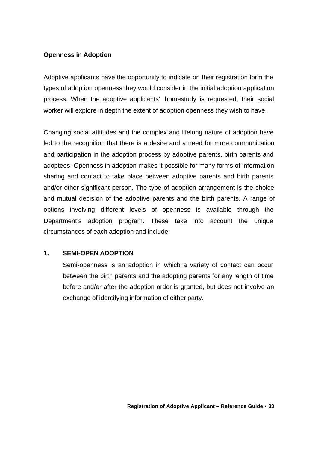## **Openness in Adoption**

Adoptive applicants have the opportunity to indicate on their registration form the types of adoption openness they would consider in the initial adoption application process. When the adoptive applicants' homestudy is requested, their social worker will explore in depth the extent of adoption openness they wish to have.

Changing social attitudes and the complex and lifelong nature of adoption have led to the recognition that there is a desire and a need for more communication and participation in the adoption process by adoptive parents, birth parents and adoptees. Openness in adoption makes it possible for many forms of information sharing and contact to take place between adoptive parents and birth parents and/or other significant person. The type of adoption arrangement is the choice and mutual decision of the adoptive parents and the birth parents. A range of options involving different levels of openness is available through the Department's adoption program. These take into account the unique circumstances of each adoption and include:

#### **1. SEMI-OPEN ADOPTION**

Semi-openness is an adoption in which a variety of contact can occur between the birth parents and the adopting parents for any length of time before and/or after the adoption order is granted, but does not involve an exchange of identifying information of either party.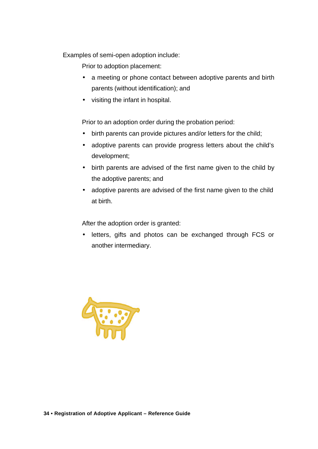Examples of semi-open adoption include:

Prior to adoption placement:

- a meeting or phone contact between adoptive parents and birth parents (without identification); and
- visiting the infant in hospital.

Prior to an adoption order during the probation period:

- birth parents can provide pictures and/or letters for the child;
- adoptive parents can provide progress letters about the child's development;
- birth parents are advised of the first name given to the child by the adoptive parents; and
- adoptive parents are advised of the first name given to the child at birth.

After the adoption order is granted:

• letters, gifts and photos can be exchanged through FCS or another intermediary.

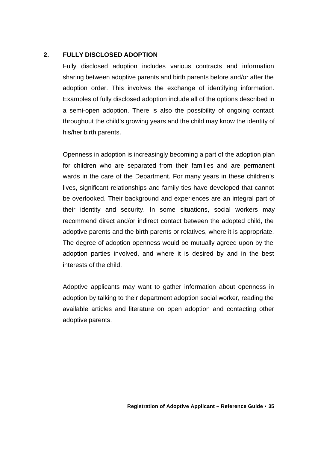## **2. FULLY DISCLOSED ADOPTION**

Fully disclosed adoption includes various contracts and information sharing between adoptive parents and birth parents before and/or after the adoption order. This involves the exchange of identifying information. Examples of fully disclosed adoption include all of the options described in a semi-open adoption. There is also the possibility of ongoing contact throughout the child's growing years and the child may know the identity of his/her birth parents.

Openness in adoption is increasingly becoming a part of the adoption plan for children who are separated from their families and are permanent wards in the care of the Department. For many years in these children's lives, significant relationships and family ties have developed that cannot be overlooked. Their background and experiences are an integral part of their identity and security. In some situations, social workers may recommend direct and/or indirect contact between the adopted child, the adoptive parents and the birth parents or relatives, where it is appropriate. The degree of adoption openness would be mutually agreed upon by the adoption parties involved, and where it is desired by and in the best interests of the child.

Adoptive applicants may want to gather information about openness in adoption by talking to their department adoption social worker, reading the available articles and literature on open adoption and contacting other adoptive parents.